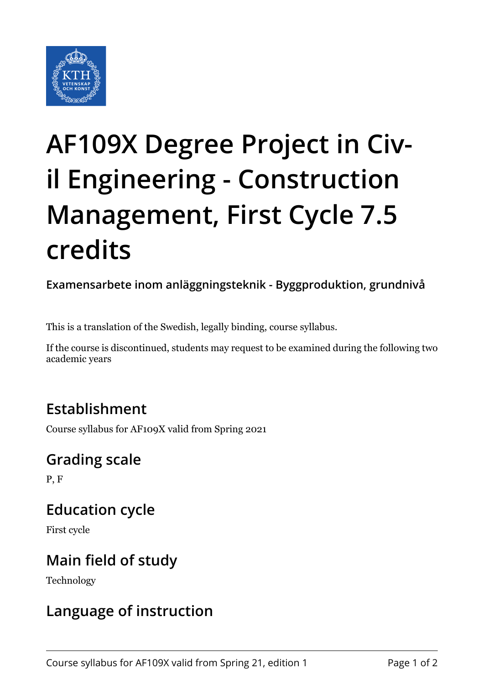

# **AF109X Degree Project in Civil Engineering - Construction Management, First Cycle 7.5 credits**

**Examensarbete inom anläggningsteknik - Byggproduktion, grundnivå**

This is a translation of the Swedish, legally binding, course syllabus.

If the course is discontinued, students may request to be examined during the following two academic years

### **Establishment**

Course syllabus for AF109X valid from Spring 2021

### **Grading scale**

P, F

## **Education cycle**

First cycle

### **Main field of study**

Technology

## **Language of instruction**